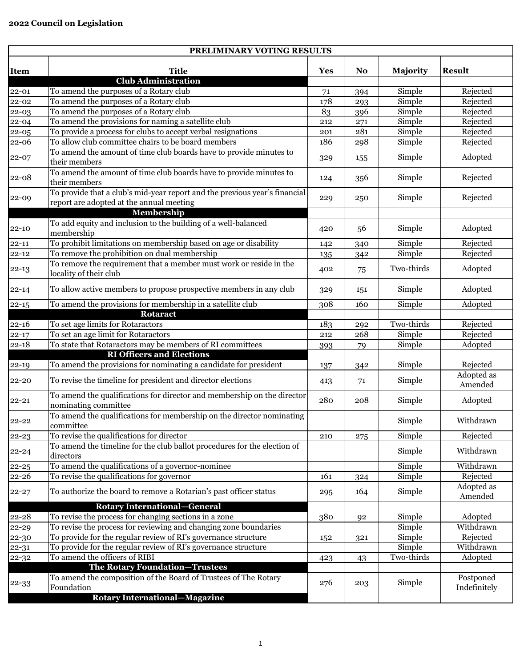| PRELIMINARY VOTING RESULTS |                                                                                                                        |            |                |            |                           |
|----------------------------|------------------------------------------------------------------------------------------------------------------------|------------|----------------|------------|---------------------------|
|                            |                                                                                                                        |            |                |            |                           |
| <b>Item</b>                | <b>Title</b><br><b>Club Administration</b>                                                                             | <b>Yes</b> | N <sub>o</sub> | Majority   | <b>Result</b>             |
| $22 - 01$                  | To amend the purposes of a Rotary club                                                                                 |            |                | Simple     | Rejected                  |
| $22 - 02$                  | To amend the purposes of a Rotary club                                                                                 | 71<br>178  | 394            | Simple     | Rejected                  |
| 22-03                      | To amend the purposes of a Rotary club                                                                                 | 83         | 293<br>396     | Simple     | Rejected                  |
| $22 - 04$                  | To amend the provisions for naming a satellite club                                                                    | 212        | 271            | Simple     | Rejected                  |
| 22-05                      | To provide a process for clubs to accept verbal resignations                                                           | 201        | 281            | Simple     | Rejected                  |
| 22-06                      | To allow club committee chairs to be board members                                                                     | 186        | 298            | Simple     | Rejected                  |
| 22-07                      | To amend the amount of time club boards have to provide minutes to                                                     |            |                |            |                           |
|                            | their members                                                                                                          | 329        | 155            | Simple     | Adopted                   |
| $22 - 08$                  | To amend the amount of time club boards have to provide minutes to<br>their members                                    | 124        | 356            | Simple     | Rejected                  |
| 22-09                      | To provide that a club's mid-year report and the previous year's financial<br>report are adopted at the annual meeting | 229        | 250            | Simple     | Rejected                  |
|                            | Membership                                                                                                             |            |                |            |                           |
| $22 - 10$                  | To add equity and inclusion to the building of a well-balanced<br>membership                                           | 420        | 56             | Simple     | Adopted                   |
| $22 - 11$                  | To prohibit limitations on membership based on age or disability                                                       | 142        | 340            | Simple     | Rejected                  |
| $22 - 12$                  | To remove the prohibition on dual membership                                                                           | 135        | 342            | Simple     | Rejected                  |
| $22 - 13$                  | To remove the requirement that a member must work or reside in the<br>locality of their club                           | 402        | 75             | Two-thirds | Adopted                   |
| $22 - 14$                  | To allow active members to propose prospective members in any club                                                     | 329        | 151            | Simple     | Adopted                   |
| $22 - 15$                  | To amend the provisions for membership in a satellite club                                                             | 308        | 160            | Simple     | Adopted                   |
|                            | <b>Rotaract</b>                                                                                                        |            |                |            |                           |
| $22 - 16$                  | To set age limits for Rotaractors                                                                                      | 183        | 292            | Two-thirds | Rejected                  |
| $22 - 17$                  | To set an age limit for Rotaractors                                                                                    | 212        | 268            | Simple     | Rejected                  |
| $22 - 18$                  | To state that Rotaractors may be members of RI committees                                                              | 393        | 79             | Simple     | Adopted                   |
|                            | <b>RI Officers and Elections</b>                                                                                       |            |                |            |                           |
| $22 - 19$                  | To amend the provisions for nominating a candidate for president                                                       | 137        | 342            | Simple     | Rejected                  |
| 22-20                      | To revise the timeline for president and director elections                                                            | 413        | 71             | Simple     | Adopted as<br>Amended     |
| $22 - 21$                  | To amend the qualifications for director and membership on the director<br>nominating committee                        | 280        | 208            | Simple     | Adopted                   |
| $22 - 22$                  | To amend the qualifications for membership on the director nominating<br>committee                                     |            |                | Simple     | Withdrawn                 |
| $22 - 23$                  | To revise the qualifications for director                                                                              | 210        | 275            | Simple     | Rejected                  |
| $22 - 24$                  | To amend the timeline for the club ballot procedures for the election of<br>directors                                  |            |                | Simple     | Withdrawn                 |
| $22 - 25$                  | To amend the qualifications of a governor-nominee                                                                      |            |                | Simple     | Withdrawn                 |
| 22-26                      | To revise the qualifications for governor                                                                              | 161        | 324            | Simple     | Rejected                  |
| $22 - 27$                  | To authorize the board to remove a Rotarian's past officer status                                                      | 295        | 164            | Simple     | Adopted as<br>Amended     |
|                            | <b>Rotary International–General</b>                                                                                    |            |                |            |                           |
| 22-28                      | To revise the process for changing sections in a zone                                                                  | 380        | 92             | Simple     | Adopted                   |
| 22-29                      | To revise the process for reviewing and changing zone boundaries                                                       |            |                | Simple     | Withdrawn                 |
| 22-30                      | To provide for the regular review of RI's governance structure                                                         | 152        | 321            | Simple     | Rejected                  |
| $22 - 31$                  | To provide for the regular review of RI's governance structure                                                         |            |                | Simple     | Withdrawn                 |
| $22 - 32$                  | To amend the officers of RIBI                                                                                          | 423        | 43             | Two-thirds | Adopted                   |
|                            | The Rotary Foundation-Trustees                                                                                         |            |                |            |                           |
| $22 - 33$                  | To amend the composition of the Board of Trustees of The Rotary<br>Foundation                                          | 276        | 203            | Simple     | Postponed<br>Indefinitely |
|                            | <b>Rotary International-Magazine</b>                                                                                   |            |                |            |                           |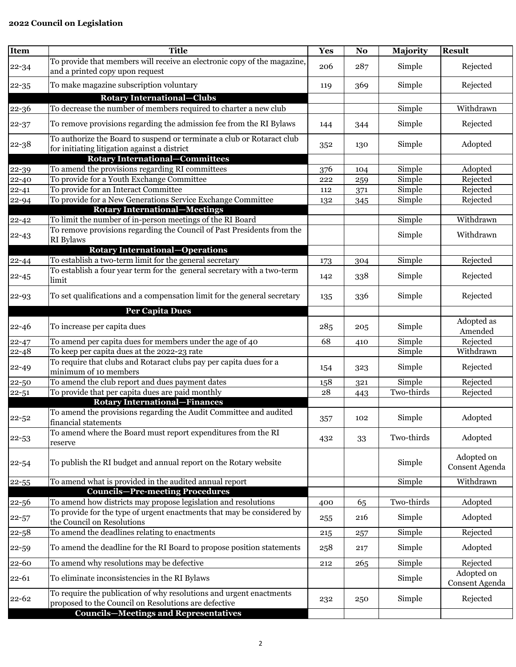## **2022 Council on Legislation**

| Item      | <b>Title</b>                                                                                                           | <b>Yes</b> | N <sub>o</sub> | Majority   | <b>Result</b>                |
|-----------|------------------------------------------------------------------------------------------------------------------------|------------|----------------|------------|------------------------------|
| $22 - 34$ | To provide that members will receive an electronic copy of the magazine,<br>and a printed copy upon request            | 206        | 287            | Simple     | Rejected                     |
| $22 - 35$ | To make magazine subscription voluntary                                                                                | 119        | 369            | Simple     | Rejected                     |
|           | <b>Rotary International–Clubs</b>                                                                                      |            |                |            |                              |
| $22 - 36$ | To decrease the number of members required to charter a new club                                                       |            |                | Simple     | Withdrawn                    |
| $22 - 37$ | To remove provisions regarding the admission fee from the RI Bylaws                                                    | 144        | 344            | Simple     | Rejected                     |
| $22 - 38$ | To authorize the Board to suspend or terminate a club or Rotaract club<br>for initiating litigation against a district | 352        | 130            | Simple     | Adopted                      |
|           | <b>Rotary International-Committees</b>                                                                                 |            |                |            |                              |
| $22 - 39$ | To amend the provisions regarding RI committees                                                                        | 376        | 104            | Simple     | Adopted                      |
| $22 - 40$ | To provide for a Youth Exchange Committee                                                                              | 222        | 259            | Simple     | Rejected                     |
| $22 - 41$ | To provide for an Interact Committee                                                                                   | 112        | 371            | Simple     | Rejected                     |
| $22 - 94$ | To provide for a New Generations Service Exchange Committee                                                            | 132        | 345            | Simple     | Rejected                     |
|           | <b>Rotary International-Meetings</b>                                                                                   |            |                |            |                              |
| $22 - 42$ | To limit the number of in-person meetings of the RI Board                                                              |            |                | Simple     | Withdrawn                    |
| $22 - 43$ | To remove provisions regarding the Council of Past Presidents from the<br>RI Bylaws                                    |            |                | Simple     | Withdrawn                    |
|           | <b>Rotary International-Operations</b>                                                                                 |            |                |            |                              |
| $22 - 44$ | To establish a two-term limit for the general secretary                                                                | 173        | 304            | Simple     | Rejected                     |
| $22 - 45$ | To establish a four year term for the general secretary with a two-term<br>limit                                       | 142        | 338            | Simple     | Rejected                     |
| $22 - 93$ | To set qualifications and a compensation limit for the general secretary                                               | 135        | 336            | Simple     | Rejected                     |
|           | <b>Per Capita Dues</b>                                                                                                 |            |                |            |                              |
|           |                                                                                                                        |            |                |            | Adopted as                   |
| $22 - 46$ | To increase per capita dues                                                                                            | 285        | 205            | Simple     | Amended                      |
| $22 - 47$ | To amend per capita dues for members under the age of 40                                                               | 68         | 410            | Simple     | Rejected                     |
| $22 - 48$ | To keep per capita dues at the 2022-23 rate                                                                            |            |                | Simple     | Withdrawn                    |
| $22 - 49$ | To require that clubs and Rotaract clubs pay per capita dues for a<br>minimum of 10 members                            | 154        | 323            | Simple     | Rejected                     |
| 22-50     | To amend the club report and dues payment dates                                                                        | 158        | 321            | Simple     | Rejected                     |
| $22 - 51$ | To provide that per capita dues are paid monthly                                                                       | 28         | 443            | Two-thirds | Rejected                     |
|           | <b>Rotary International–Finances</b>                                                                                   |            |                |            |                              |
| $22 - 52$ | To amend the provisions regarding the Audit Committee and audited<br>financial statements                              | 357        | 102            | Simple     | Adopted                      |
| $22 - 53$ | To amend where the Board must report expenditures from the RI<br>reserve                                               | 432        | 33             | Two-thirds | Adopted                      |
| $22 - 54$ | To publish the RI budget and annual report on the Rotary website                                                       |            |                | Simple     | Adopted on<br>Consent Agenda |
| 22-55     | To amend what is provided in the audited annual report                                                                 |            |                | Simple     | Withdrawn                    |
|           | <b>Councils-Pre-meeting Procedures</b>                                                                                 |            |                |            |                              |
| $22 - 56$ | To amend how districts may propose legislation and resolutions                                                         | 400        | 65             | Two-thirds | Adopted                      |
| $22 - 57$ | To provide for the type of urgent enactments that may be considered by<br>the Council on Resolutions                   | 255        | 216            | Simple     | Adopted                      |
| $22 - 58$ | To amend the deadlines relating to enactments                                                                          | 215        | 257            | Simple     | Rejected                     |
| $22 - 59$ | To amend the deadline for the RI Board to propose position statements                                                  | 258        | 217            | Simple     | Adopted                      |
| 22-60     | To amend why resolutions may be defective                                                                              | 212        | 265            | Simple     | Rejected                     |
|           |                                                                                                                        |            |                |            | Adopted on                   |
| $22 - 61$ | To eliminate inconsistencies in the RI Bylaws<br>To require the publication of why resolutions and urgent enactments   |            |                | Simple     | Consent Agenda               |
| $22 - 62$ | proposed to the Council on Resolutions are defective<br><b>Councils-Meetings and Representatives</b>                   | 232        | 250            | Simple     | Rejected                     |
|           |                                                                                                                        |            |                |            |                              |